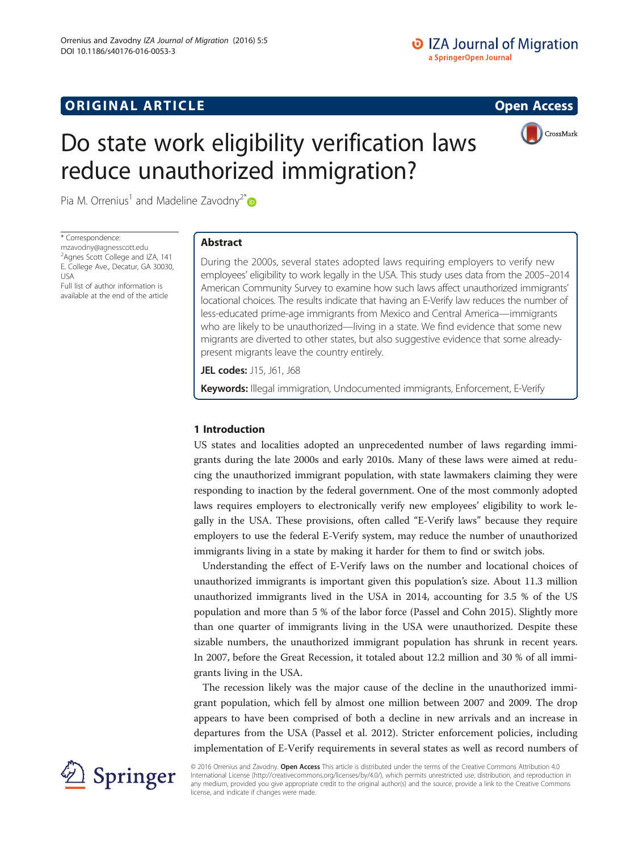# **ORIGINAL ARTICLE CONSUMING A LIGACION** CONSUMING A LIGACION CONSUMING A LIGACION CONSUMING A LIGACION CONSUMING A LIGACION CONSUMING A LIGACION CONSUMING A LIGACION CONSUMING A LIGACION CONSUMING A LIGACION CONSUMING A



CrossMark

Pia M. Orrenius<sup>1</sup> and Madeline Zavodny<sup>2[\\*](http://orcid.org/0000-0001-5966-1688)</sup>

\* Correspondence:

[mzavodny@agnesscott.edu](mailto:mzavodny@agnesscott.edu) <sup>2</sup> Agnes Scott College and IZA, 141 E. College Ave., Decatur, GA 30030, USA Full list of author information is

available at the end of the article

# Abstract

During the 2000s, several states adopted laws requiring employers to verify new employees' eligibility to work legally in the USA. This study uses data from the 2005–2014 American Community Survey to examine how such laws affect unauthorized immigrants' locational choices. The results indicate that having an E-Verify law reduces the number of less-educated prime-age immigrants from Mexico and Central America—immigrants who are likely to be unauthorized—living in a state. We find evidence that some new migrants are diverted to other states, but also suggestive evidence that some alreadypresent migrants leave the country entirely.

JEL codes: J15, J61, J68

Keywords: Illegal immigration, Undocumented immigrants, Enforcement, E-Verify

# 1 Introduction

US states and localities adopted an unprecedented number of laws regarding immigrants during the late 2000s and early 2010s. Many of these laws were aimed at reducing the unauthorized immigrant population, with state lawmakers claiming they were responding to inaction by the federal government. One of the most commonly adopted laws requires employers to electronically verify new employees' eligibility to work legally in the USA. These provisions, often called "E-Verify laws" because they require employers to use the federal E-Verify system, may reduce the number of unauthorized immigrants living in a state by making it harder for them to find or switch jobs.

Understanding the effect of E-Verify laws on the number and locational choices of unauthorized immigrants is important given this population's size. About 11.3 million unauthorized immigrants lived in the USA in 2014, accounting for 3.5 % of the US population and more than 5 % of the labor force (Passel and Cohn [2015\)](#page-15-0). Slightly more than one quarter of immigrants living in the USA were unauthorized. Despite these sizable numbers, the unauthorized immigrant population has shrunk in recent years. In 2007, before the Great Recession, it totaled about 12.2 million and 30 % of all immigrants living in the USA.

The recession likely was the major cause of the decline in the unauthorized immigrant population, which fell by almost one million between 2007 and 2009. The drop appears to have been comprised of both a decline in new arrivals and an increase in departures from the USA (Passel et al. [2012\)](#page--1-0). Stricter enforcement policies, including implementation of E-Verify requirements in several states as well as record numbers of



© 2016 Orrenius and Zavodny. **Open Access** This article is distributed under the terms of the Creative Commons Attribution 4.0 International License ([http://creativecommons.org/licenses/by/4.0/\)](http://creativecommons.org/licenses/by/4.0/), which permits unrestricted use, distribution, and reproduction in any medium, provided you give appropriate credit to the original author(s) and the source, provide a link to the Creative Commons license, and indicate if changes were made.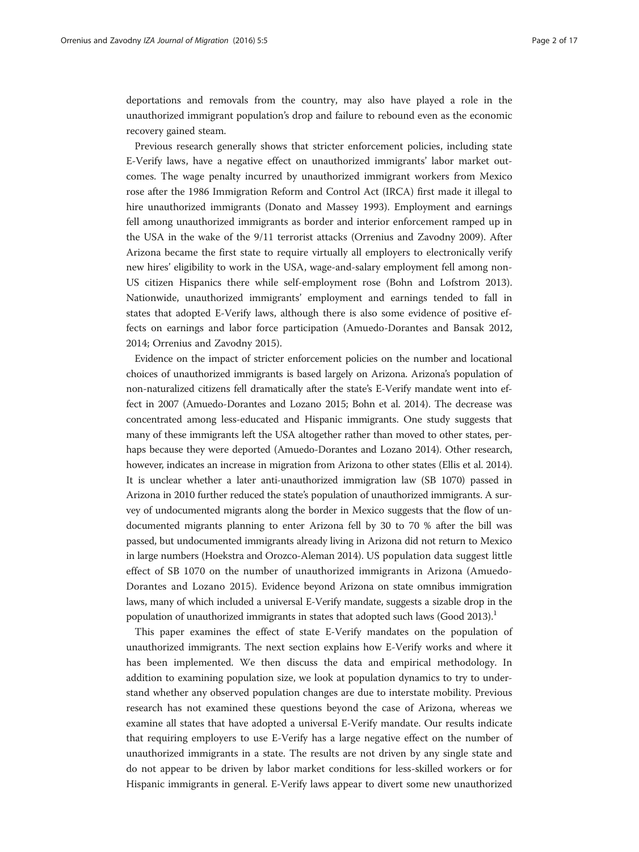deportations and removals from the country, may also have played a role in the unauthorized immigrant population's drop and failure to rebound even as the economic recovery gained steam.

Previous research generally shows that stricter enforcement policies, including state E-Verify laws, have a negative effect on unauthorized immigrants' labor market outcomes. The wage penalty incurred by unauthorized immigrant workers from Mexico rose after the 1986 Immigration Reform and Control Act (IRCA) first made it illegal to hire unauthorized immigrants (Donato and Massey [1993](#page-15-0)). Employment and earnings fell among unauthorized immigrants as border and interior enforcement ramped up in the USA in the wake of the 9/11 terrorist attacks (Orrenius and Zavodny [2009\)](#page-15-0). After Arizona became the first state to require virtually all employers to electronically verify new hires' eligibility to work in the USA, wage-and-salary employment fell among non-US citizen Hispanics there while self-employment rose (Bohn and Lofstrom [2013](#page-15-0)). Nationwide, unauthorized immigrants' employment and earnings tended to fall in states that adopted E-Verify laws, although there is also some evidence of positive effects on earnings and labor force participation (Amuedo-Dorantes and Bansak [2012](#page-15-0), [2014](#page-15-0); Orrenius and Zavodny [2015\)](#page-15-0).

Evidence on the impact of stricter enforcement policies on the number and locational choices of unauthorized immigrants is based largely on Arizona. Arizona's population of non-naturalized citizens fell dramatically after the state's E-Verify mandate went into effect in 2007 (Amuedo-Dorantes and Lozano [2015;](#page-15-0) Bohn et al. [2014](#page-15-0)). The decrease was concentrated among less-educated and Hispanic immigrants. One study suggests that many of these immigrants left the USA altogether rather than moved to other states, perhaps because they were deported (Amuedo-Dorantes and Lozano [2014\)](#page-15-0). Other research, however, indicates an increase in migration from Arizona to other states (Ellis et al. [2014](#page-15-0)). It is unclear whether a later anti-unauthorized immigration law (SB 1070) passed in Arizona in 2010 further reduced the state's population of unauthorized immigrants. A survey of undocumented migrants along the border in Mexico suggests that the flow of undocumented migrants planning to enter Arizona fell by 30 to 70 % after the bill was passed, but undocumented immigrants already living in Arizona did not return to Mexico in large numbers (Hoekstra and Orozco-Aleman [2014\)](#page-15-0). US population data suggest little effect of SB 1070 on the number of unauthorized immigrants in Arizona (Amuedo-Dorantes and Lozano [2015](#page-15-0)). Evidence beyond Arizona on state omnibus immigration laws, many of which included a universal E-Verify mandate, suggests a sizable drop in the population of unauthorized immigrants in states that adopted such laws (Good [2013\)](#page-15-0).<sup>1</sup>

This paper examines the effect of state E-Verify mandates on the population of unauthorized immigrants. The next section explains how E-Verify works and where it has been implemented. We then discuss the data and empirical methodology. In addition to examining population size, we look at population dynamics to try to understand whether any observed population changes are due to interstate mobility. Previous research has not examined these questions beyond the case of Arizona, whereas we examine all states that have adopted a universal E-Verify mandate. Our results indicate that requiring employers to use E-Verify has a large negative effect on the number of unauthorized immigrants in a state. The results are not driven by any single state and do not appear to be driven by labor market conditions for less-skilled workers or for Hispanic immigrants in general. E-Verify laws appear to divert some new unauthorized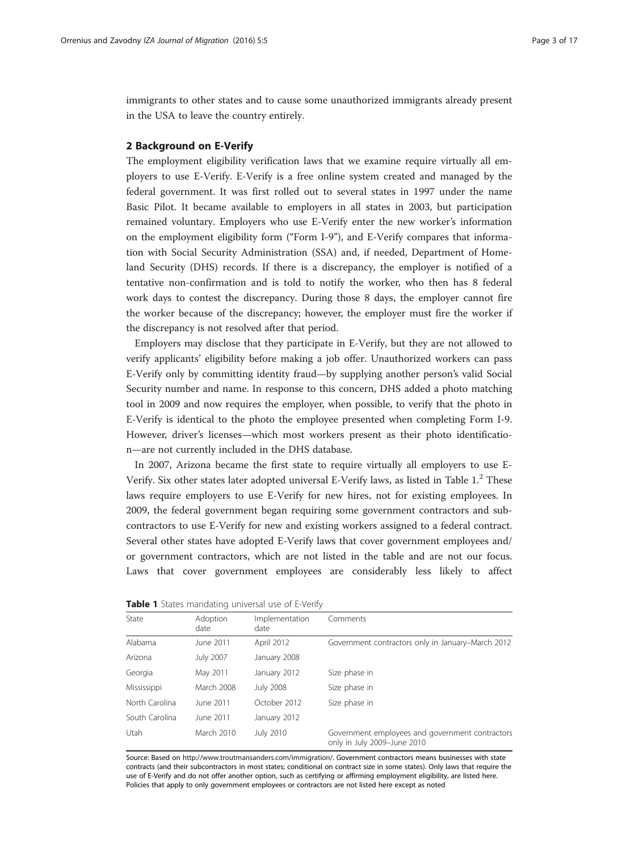immigrants to other states and to cause some unauthorized immigrants already present in the USA to leave the country entirely.

# 2 Background on E-Verify

The employment eligibility verification laws that we examine require virtually all employers to use E-Verify. E-Verify is a free online system created and managed by the federal government. It was first rolled out to several states in 1997 under the name Basic Pilot. It became available to employers in all states in 2003, but participation remained voluntary. Employers who use E-Verify enter the new worker's information on the employment eligibility form ("Form I-9"), and E-Verify compares that information with Social Security Administration (SSA) and, if needed, Department of Homeland Security (DHS) records. If there is a discrepancy, the employer is notified of a tentative non-confirmation and is told to notify the worker, who then has 8 federal work days to contest the discrepancy. During those 8 days, the employer cannot fire the worker because of the discrepancy; however, the employer must fire the worker if the discrepancy is not resolved after that period.

Employers may disclose that they participate in E-Verify, but they are not allowed to verify applicants' eligibility before making a job offer. Unauthorized workers can pass E-Verify only by committing identity fraud—by supplying another person's valid Social Security number and name. In response to this concern, DHS added a photo matching tool in 2009 and now requires the employer, when possible, to verify that the photo in E-Verify is identical to the photo the employee presented when completing Form I-9. However, driver's licenses—which most workers present as their photo identification—are not currently included in the DHS database.

In 2007, Arizona became the first state to require virtually all employers to use E-Verify. Six other states later adopted universal E-Verify laws, as listed in Table 1.<sup>2</sup> These laws require employers to use E-Verify for new hires, not for existing employees. In 2009, the federal government began requiring some government contractors and subcontractors to use E-Verify for new and existing workers assigned to a federal contract. Several other states have adopted E-Verify laws that cover government employees and/ or government contractors, which are not listed in the table and are not our focus. Laws that cover government employees are considerably less likely to affect

| State          | Adoption<br>date | Implementation<br>date | Comments                                                                       |
|----------------|------------------|------------------------|--------------------------------------------------------------------------------|
| Alabama        | June 2011        | April 2012             | Government contractors only in January–March 2012                              |
| Arizona        | July 2007        | January 2008           |                                                                                |
| Georgia        | May 2011         | January 2012           | Size phase in                                                                  |
| Mississippi    | March 2008       | <b>July 2008</b>       | Size phase in                                                                  |
| North Carolina | June 2011        | October 2012           | Size phase in                                                                  |
| South Carolina | June 2011        | January 2012           |                                                                                |
| <b>Utah</b>    | March 2010       | <b>July 2010</b>       | Government employees and government contractors<br>only in July 2009-June 2010 |

|  |  |  | <b>Table 1</b> States mandating universal use of E-Verify |  |  |  |  |
|--|--|--|-----------------------------------------------------------|--|--|--|--|
|--|--|--|-----------------------------------------------------------|--|--|--|--|

Source: Based on <http://www.troutmansanders.com/immigration/>. Government contractors means businesses with state contracts (and their subcontractors in most states; conditional on contract size in some states). Only laws that require the use of E-Verify and do not offer another option, such as certifying or affirming employment eligibility, are listed here. Policies that apply to only government employees or contractors are not listed here except as noted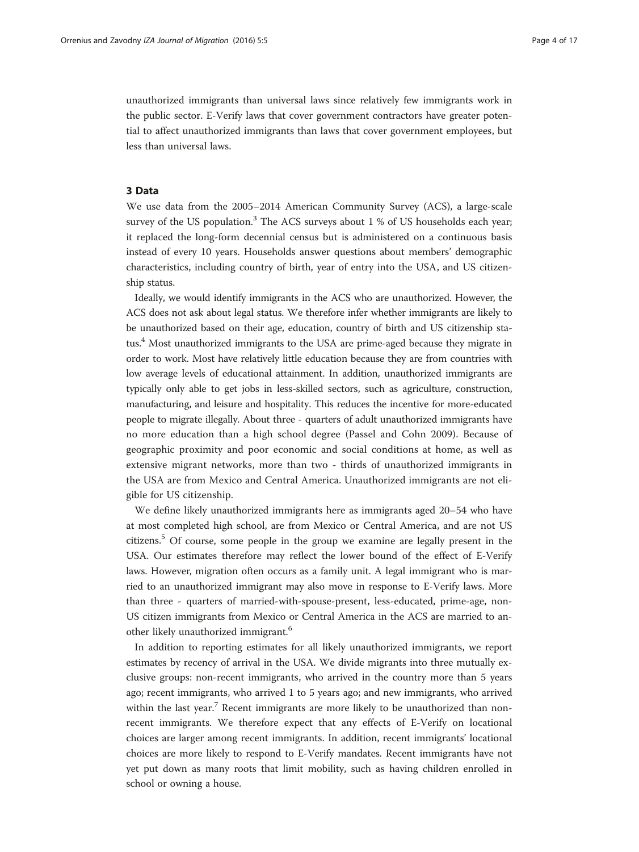unauthorized immigrants than universal laws since relatively few immigrants work in the public sector. E-Verify laws that cover government contractors have greater potential to affect unauthorized immigrants than laws that cover government employees, but less than universal laws.

### 3 Data

We use data from the 2005–2014 American Community Survey (ACS), a large-scale survey of the US population. $3$  The ACS surveys about 1 % of US households each year; it replaced the long-form decennial census but is administered on a continuous basis instead of every 10 years. Households answer questions about members' demographic characteristics, including country of birth, year of entry into the USA, and US citizenship status.

Ideally, we would identify immigrants in the ACS who are unauthorized. However, the ACS does not ask about legal status. We therefore infer whether immigrants are likely to be unauthorized based on their age, education, country of birth and US citizenship status.4 Most unauthorized immigrants to the USA are prime-aged because they migrate in order to work. Most have relatively little education because they are from countries with low average levels of educational attainment. In addition, unauthorized immigrants are typically only able to get jobs in less-skilled sectors, such as agriculture, construction, manufacturing, and leisure and hospitality. This reduces the incentive for more-educated people to migrate illegally. About three - quarters of adult unauthorized immigrants have no more education than a high school degree (Passel and Cohn [2009\)](#page-15-0). Because of geographic proximity and poor economic and social conditions at home, as well as extensive migrant networks, more than two - thirds of unauthorized immigrants in the USA are from Mexico and Central America. Unauthorized immigrants are not eligible for US citizenship.

We define likely unauthorized immigrants here as immigrants aged 20–54 who have at most completed high school, are from Mexico or Central America, and are not US citizens.5 Of course, some people in the group we examine are legally present in the USA. Our estimates therefore may reflect the lower bound of the effect of E-Verify laws. However, migration often occurs as a family unit. A legal immigrant who is married to an unauthorized immigrant may also move in response to E-Verify laws. More than three - quarters of married-with-spouse-present, less-educated, prime-age, non-US citizen immigrants from Mexico or Central America in the ACS are married to another likely unauthorized immigrant.<sup>6</sup>

In addition to reporting estimates for all likely unauthorized immigrants, we report estimates by recency of arrival in the USA. We divide migrants into three mutually exclusive groups: non-recent immigrants, who arrived in the country more than 5 years ago; recent immigrants, who arrived 1 to 5 years ago; and new immigrants, who arrived within the last year.<sup>7</sup> Recent immigrants are more likely to be unauthorized than nonrecent immigrants. We therefore expect that any effects of E-Verify on locational choices are larger among recent immigrants. In addition, recent immigrants' locational choices are more likely to respond to E-Verify mandates. Recent immigrants have not yet put down as many roots that limit mobility, such as having children enrolled in school or owning a house.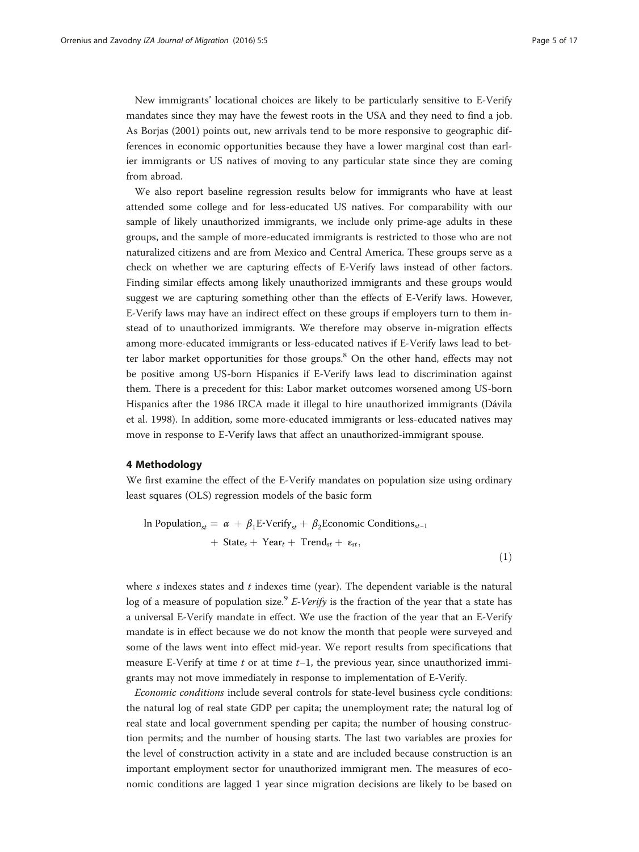<span id="page-4-0"></span>New immigrants' locational choices are likely to be particularly sensitive to E-Verify mandates since they may have the fewest roots in the USA and they need to find a job. As Borjas [\(2001\)](#page-15-0) points out, new arrivals tend to be more responsive to geographic differences in economic opportunities because they have a lower marginal cost than earlier immigrants or US natives of moving to any particular state since they are coming from abroad.

We also report baseline regression results below for immigrants who have at least attended some college and for less-educated US natives. For comparability with our sample of likely unauthorized immigrants, we include only prime-age adults in these groups, and the sample of more-educated immigrants is restricted to those who are not naturalized citizens and are from Mexico and Central America. These groups serve as a check on whether we are capturing effects of E-Verify laws instead of other factors. Finding similar effects among likely unauthorized immigrants and these groups would suggest we are capturing something other than the effects of E-Verify laws. However, E-Verify laws may have an indirect effect on these groups if employers turn to them instead of to unauthorized immigrants. We therefore may observe in-migration effects among more-educated immigrants or less-educated natives if E-Verify laws lead to better labor market opportunities for those groups. $8$  On the other hand, effects may not be positive among US-born Hispanics if E-Verify laws lead to discrimination against them. There is a precedent for this: Labor market outcomes worsened among US-born Hispanics after the 1986 IRCA made it illegal to hire unauthorized immigrants (Dávila et al. [1998](#page-15-0)). In addition, some more-educated immigrants or less-educated natives may move in response to E-Verify laws that affect an unauthorized-immigrant spouse.

# 4 Methodology

We first examine the effect of the E-Verify mandates on population size using ordinary least squares (OLS) regression models of the basic form

In Population<sub>st</sub> = 
$$
\alpha + \beta_1 E\text{-Verify}_{st} + \beta_2 \text{Economic Conditions}_{st-1}
$$
  
+ State<sub>s</sub> + Year<sub>t</sub> + Trend<sub>st</sub> +  $\varepsilon_{st}$ , (1)

where  $s$  indexes states and  $t$  indexes time (year). The dependent variable is the natural log of a measure of population size.<sup>9</sup> E-Verify is the fraction of the year that a state has a universal E-Verify mandate in effect. We use the fraction of the year that an E-Verify mandate is in effect because we do not know the month that people were surveyed and some of the laws went into effect mid-year. We report results from specifications that measure E-Verify at time  $t$  or at time  $t-1$ , the previous year, since unauthorized immigrants may not move immediately in response to implementation of E-Verify.

Economic conditions include several controls for state-level business cycle conditions: the natural log of real state GDP per capita; the unemployment rate; the natural log of real state and local government spending per capita; the number of housing construction permits; and the number of housing starts. The last two variables are proxies for the level of construction activity in a state and are included because construction is an important employment sector for unauthorized immigrant men. The measures of economic conditions are lagged 1 year since migration decisions are likely to be based on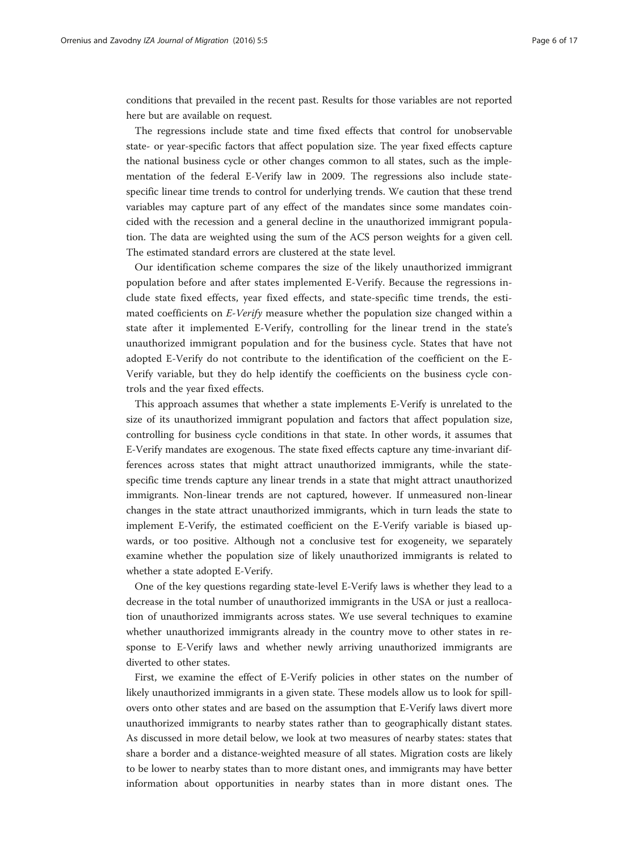conditions that prevailed in the recent past. Results for those variables are not reported here but are available on request.

The regressions include state and time fixed effects that control for unobservable state- or year-specific factors that affect population size. The year fixed effects capture the national business cycle or other changes common to all states, such as the implementation of the federal E-Verify law in 2009. The regressions also include statespecific linear time trends to control for underlying trends. We caution that these trend variables may capture part of any effect of the mandates since some mandates coincided with the recession and a general decline in the unauthorized immigrant population. The data are weighted using the sum of the ACS person weights for a given cell. The estimated standard errors are clustered at the state level.

Our identification scheme compares the size of the likely unauthorized immigrant population before and after states implemented E-Verify. Because the regressions include state fixed effects, year fixed effects, and state-specific time trends, the estimated coefficients on E-Verify measure whether the population size changed within a state after it implemented E-Verify, controlling for the linear trend in the state's unauthorized immigrant population and for the business cycle. States that have not adopted E-Verify do not contribute to the identification of the coefficient on the E-Verify variable, but they do help identify the coefficients on the business cycle controls and the year fixed effects.

This approach assumes that whether a state implements E-Verify is unrelated to the size of its unauthorized immigrant population and factors that affect population size, controlling for business cycle conditions in that state. In other words, it assumes that E-Verify mandates are exogenous. The state fixed effects capture any time-invariant differences across states that might attract unauthorized immigrants, while the statespecific time trends capture any linear trends in a state that might attract unauthorized immigrants. Non-linear trends are not captured, however. If unmeasured non-linear changes in the state attract unauthorized immigrants, which in turn leads the state to implement E-Verify, the estimated coefficient on the E-Verify variable is biased upwards, or too positive. Although not a conclusive test for exogeneity, we separately examine whether the population size of likely unauthorized immigrants is related to whether a state adopted E-Verify.

One of the key questions regarding state-level E-Verify laws is whether they lead to a decrease in the total number of unauthorized immigrants in the USA or just a reallocation of unauthorized immigrants across states. We use several techniques to examine whether unauthorized immigrants already in the country move to other states in response to E-Verify laws and whether newly arriving unauthorized immigrants are diverted to other states.

First, we examine the effect of E-Verify policies in other states on the number of likely unauthorized immigrants in a given state. These models allow us to look for spillovers onto other states and are based on the assumption that E-Verify laws divert more unauthorized immigrants to nearby states rather than to geographically distant states. As discussed in more detail below, we look at two measures of nearby states: states that share a border and a distance-weighted measure of all states. Migration costs are likely to be lower to nearby states than to more distant ones, and immigrants may have better information about opportunities in nearby states than in more distant ones. The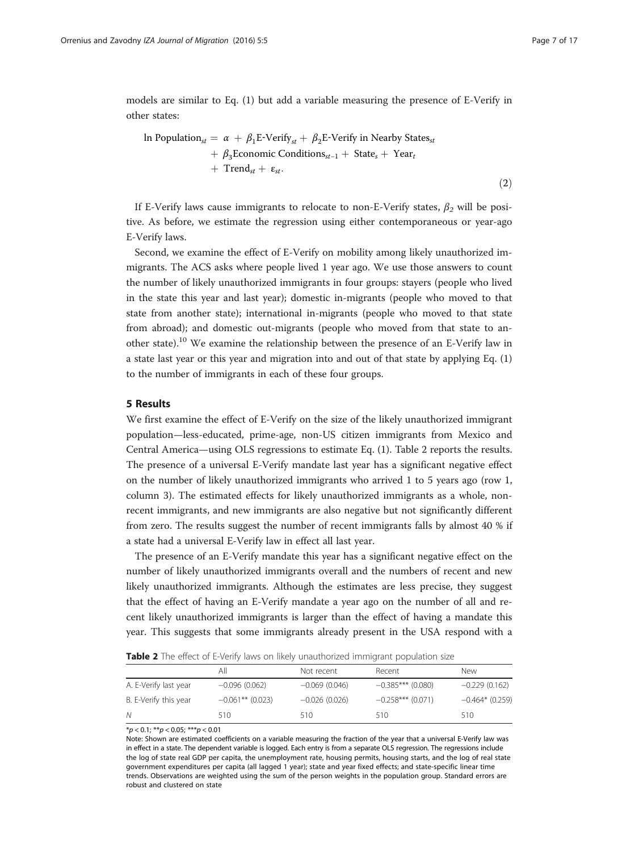<span id="page-6-0"></span>models are similar to Eq. [\(1](#page-4-0)) but add a variable measuring the presence of E-Verify in other states:

In Population<sub>st</sub> = 
$$
\alpha + \beta_1 E\text{-Verify}_{st} + \beta_2 E\text{-Verify in Nearly States}_{st}
$$
  
+  $\beta_3$ Economic Conditions<sub>st-1</sub> + State<sub>s</sub> + Year<sub>t</sub>  
+ Trend<sub>st</sub> +  $\varepsilon_{st}$ . (2)

If E-Verify laws cause immigrants to relocate to non-E-Verify states,  $\beta_2$  will be positive. As before, we estimate the regression using either contemporaneous or year-ago E-Verify laws.

Second, we examine the effect of E-Verify on mobility among likely unauthorized immigrants. The ACS asks where people lived 1 year ago. We use those answers to count the number of likely unauthorized immigrants in four groups: stayers (people who lived in the state this year and last year); domestic in-migrants (people who moved to that state from another state); international in-migrants (people who moved to that state from abroad); and domestic out-migrants (people who moved from that state to another state).<sup>10</sup> We examine the relationship between the presence of an E-Verify law in a state last year or this year and migration into and out of that state by applying Eq. ([1](#page-4-0)) to the number of immigrants in each of these four groups.

# 5 Results

We first examine the effect of E-Verify on the size of the likely unauthorized immigrant population—less-educated, prime-age, non-US citizen immigrants from Mexico and Central America—using OLS regressions to estimate Eq. [\(1](#page-4-0)). Table 2 reports the results. The presence of a universal E-Verify mandate last year has a significant negative effect on the number of likely unauthorized immigrants who arrived 1 to 5 years ago (row 1, column 3). The estimated effects for likely unauthorized immigrants as a whole, nonrecent immigrants, and new immigrants are also negative but not significantly different from zero. The results suggest the number of recent immigrants falls by almost 40 % if a state had a universal E-Verify law in effect all last year.

The presence of an E-Verify mandate this year has a significant negative effect on the number of likely unauthorized immigrants overall and the numbers of recent and new likely unauthorized immigrants. Although the estimates are less precise, they suggest that the effect of having an E-Verify mandate a year ago on the number of all and recent likely unauthorized immigrants is larger than the effect of having a mandate this year. This suggests that some immigrants already present in the USA respond with a

**Table 2** The effect of E-Verify laws on likely unauthorized immigrant population size

|                       | All                | Not recent      | Recent              | New               |
|-----------------------|--------------------|-----------------|---------------------|-------------------|
| A. E-Verify last year | $-0.096(0.062)$    | $-0.069(0.046)$ | $-0.385***$ (0.080) | $-0.229(0.162)$   |
| B. E-Verify this year | $-0.061**$ (0.023) | $-0.026(0.026)$ | $-0.258***$ (0.071) | $-0.464*$ (0.259) |
| N                     | 510                | 510             | 510                 | 510               |

 $*p < 0.1; **p < 0.05; ***p < 0.01$ 

Note: Shown are estimated coefficients on a variable measuring the fraction of the year that a universal E-Verify law was in effect in a state. The dependent variable is logged. Each entry is from a separate OLS regression. The regressions include the log of state real GDP per capita, the unemployment rate, housing permits, housing starts, and the log of real state government expenditures per capita (all lagged 1 year); state and year fixed effects; and state-specific linear time trends. Observations are weighted using the sum of the person weights in the population group. Standard errors are robust and clustered on state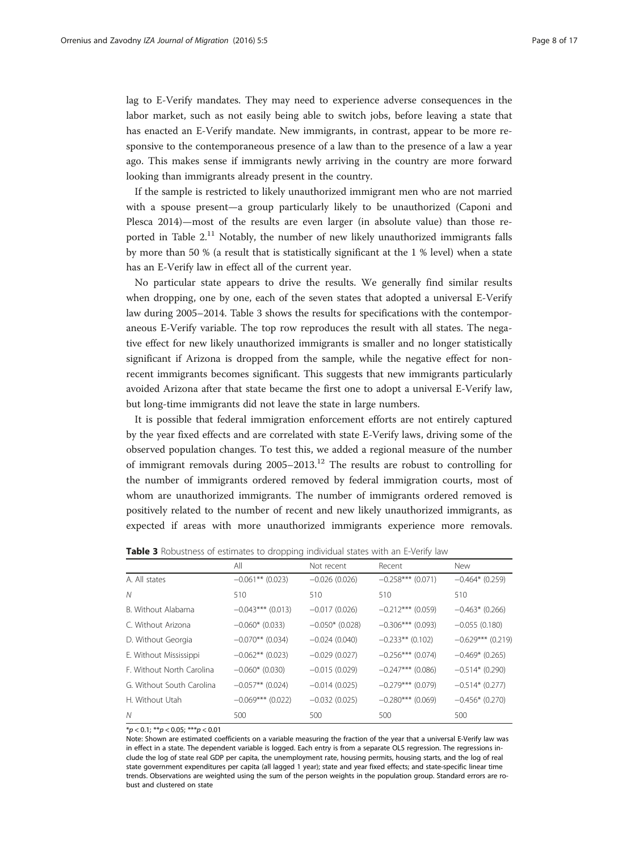lag to E-Verify mandates. They may need to experience adverse consequences in the labor market, such as not easily being able to switch jobs, before leaving a state that has enacted an E-Verify mandate. New immigrants, in contrast, appear to be more responsive to the contemporaneous presence of a law than to the presence of a law a year ago. This makes sense if immigrants newly arriving in the country are more forward looking than immigrants already present in the country.

If the sample is restricted to likely unauthorized immigrant men who are not married with a spouse present—a group particularly likely to be unauthorized (Caponi and Plesca [2014\)](#page-15-0)—most of the results are even larger (in absolute value) than those reported in Table  $2<sup>11</sup>$  Notably, the number of new likely unauthorized immigrants falls by more than 50 % (a result that is statistically significant at the 1 % level) when a state has an E-Verify law in effect all of the current year.

No particular state appears to drive the results. We generally find similar results when dropping, one by one, each of the seven states that adopted a universal E-Verify law during 2005–2014. Table 3 shows the results for specifications with the contemporaneous E-Verify variable. The top row reproduces the result with all states. The negative effect for new likely unauthorized immigrants is smaller and no longer statistically significant if Arizona is dropped from the sample, while the negative effect for nonrecent immigrants becomes significant. This suggests that new immigrants particularly avoided Arizona after that state became the first one to adopt a universal E-Verify law, but long-time immigrants did not leave the state in large numbers.

It is possible that federal immigration enforcement efforts are not entirely captured by the year fixed effects and are correlated with state E-Verify laws, driving some of the observed population changes. To test this, we added a regional measure of the number of immigrant removals during  $2005-2013$ .<sup>12</sup> The results are robust to controlling for the number of immigrants ordered removed by federal immigration courts, most of whom are unauthorized immigrants. The number of immigrants ordered removed is positively related to the number of recent and new likely unauthorized immigrants, as expected if areas with more unauthorized immigrants experience more removals.

Table 3 Robustness of estimates to dropping individual states with an E-Verify law

|                           | All                 | Not recent        | Recent              | <b>New</b>          |
|---------------------------|---------------------|-------------------|---------------------|---------------------|
| A. All states             | $-0.061**$ (0.023)  | $-0.026(0.026)$   | $-0.258***$ (0.071) | $-0.464*$ (0.259)   |
| N                         | 510                 | 510               | 510                 | 510                 |
| B. Without Alabama        | $-0.043***$ (0.013) | $-0.017(0.026)$   | $-0.212***$ (0.059) | $-0.463*$ (0.266)   |
| C. Without Arizona        | $-0.060*$ (0.033)   | $-0.050*$ (0.028) | $-0.306***$ (0.093) | $-0.055(0.180)$     |
| D. Without Georgia        | $-0.070**$ (0.034)  | $-0.024(0.040)$   | $-0.233**$ (0.102)  | $-0.629***$ (0.219) |
| E. Without Mississippi    | $-0.062**$ (0.023)  | $-0.029(0.027)$   | $-0.256***$ (0.074) | $-0.469*$ (0.265)   |
| F. Without North Carolina | $-0.060*$ (0.030)   | $-0.015(0.029)$   | $-0.247***$ (0.086) | $-0.514*$ (0.290)   |
| G. Without South Carolina | $-0.057**$ (0.024)  | $-0.014(0.025)$   | $-0.279***$ (0.079) | $-0.514*(0.277)$    |
| H. Without Utah           | $-0.069***$ (0.022) | $-0.032(0.025)$   | $-0.280***$ (0.069) | $-0.456*$ (0.270)   |
| N                         | 500                 | 500               | 500                 | 500                 |

 $*p < 0.1; **p < 0.05; ***p < 0.01$ 

Note: Shown are estimated coefficients on a variable measuring the fraction of the year that a universal E-Verify law was in effect in a state. The dependent variable is logged. Each entry is from a separate OLS regression. The regressions include the log of state real GDP per capita, the unemployment rate, housing permits, housing starts, and the log of real state government expenditures per capita (all lagged 1 year); state and year fixed effects; and state-specific linear time trends. Observations are weighted using the sum of the person weights in the population group. Standard errors are robust and clustered on state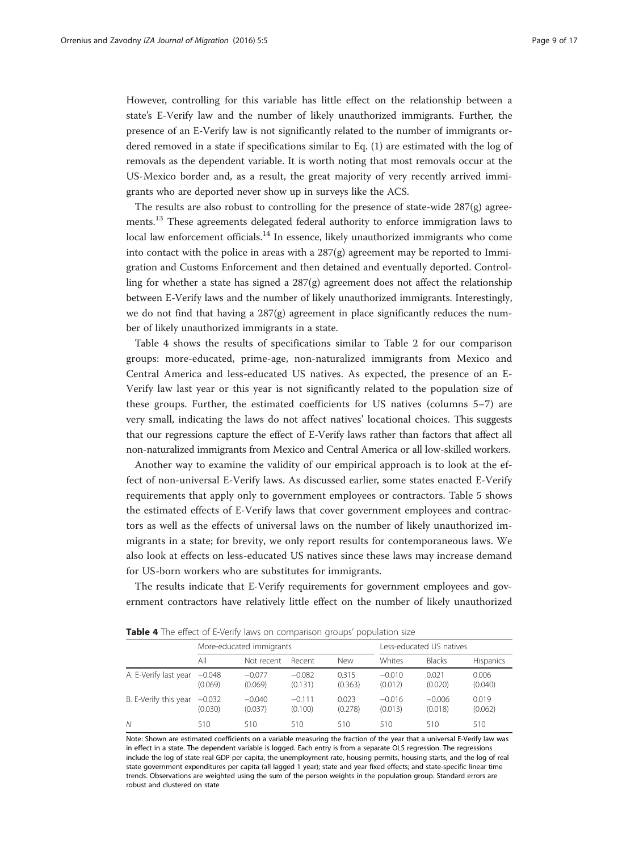However, controlling for this variable has little effect on the relationship between a state's E-Verify law and the number of likely unauthorized immigrants. Further, the presence of an E-Verify law is not significantly related to the number of immigrants ordered removed in a state if specifications similar to Eq. ([1\)](#page-4-0) are estimated with the log of removals as the dependent variable. It is worth noting that most removals occur at the US-Mexico border and, as a result, the great majority of very recently arrived immigrants who are deported never show up in surveys like the ACS.

The results are also robust to controlling for the presence of state-wide  $287(g)$  agreements.<sup>13</sup> These agreements delegated federal authority to enforce immigration laws to  $local$  law enforcement officials.<sup>14</sup> In essence, likely unauthorized immigrants who come into contact with the police in areas with a  $287(g)$  agreement may be reported to Immigration and Customs Enforcement and then detained and eventually deported. Controlling for whether a state has signed a 287(g) agreement does not affect the relationship between E-Verify laws and the number of likely unauthorized immigrants. Interestingly, we do not find that having a  $287(g)$  agreement in place significantly reduces the number of likely unauthorized immigrants in a state.

Table 4 shows the results of specifications similar to Table [2](#page-6-0) for our comparison groups: more-educated, prime-age, non-naturalized immigrants from Mexico and Central America and less-educated US natives. As expected, the presence of an E-Verify law last year or this year is not significantly related to the population size of these groups. Further, the estimated coefficients for US natives (columns 5–7) are very small, indicating the laws do not affect natives' locational choices. This suggests that our regressions capture the effect of E-Verify laws rather than factors that affect all non-naturalized immigrants from Mexico and Central America or all low-skilled workers.

Another way to examine the validity of our empirical approach is to look at the effect of non-universal E-Verify laws. As discussed earlier, some states enacted E-Verify requirements that apply only to government employees or contractors. Table [5](#page-9-0) shows the estimated effects of E-Verify laws that cover government employees and contractors as well as the effects of universal laws on the number of likely unauthorized immigrants in a state; for brevity, we only report results for contemporaneous laws. We also look at effects on less-educated US natives since these laws may increase demand for US-born workers who are substitutes for immigrants.

The results indicate that E-Verify requirements for government employees and government contractors have relatively little effect on the number of likely unauthorized

|                       |                     | More-educated immigrants |                     |                  |                     | Less-educated US natives |                  |  |
|-----------------------|---------------------|--------------------------|---------------------|------------------|---------------------|--------------------------|------------------|--|
|                       | All                 | Not recent               | Recent              | New              | Whites              | <b>Blacks</b>            | Hispanics        |  |
| A. E-Verify last year | $-0.048$<br>(0.069) | $-0.077$<br>(0.069)      | $-0.082$<br>(0.131) | 0.315<br>(0.363) | $-0.010$<br>(0.012) | 0.021<br>(0.020)         | 0.006<br>(0.040) |  |
| B. E-Verify this year | $-0.032$<br>(0.030) | $-0.040$<br>(0.037)      | $-0.111$<br>(0.100) | 0.023<br>(0.278) | $-0.016$<br>(0.013) | $-0.006$<br>(0.018)      | 0.019<br>(0.062) |  |
| N                     | 510                 | 510                      | 510                 | 510              | 510                 | 510                      | 510              |  |

Table 4 The effect of E-Verify laws on comparison groups' population size

Note: Shown are estimated coefficients on a variable measuring the fraction of the year that a universal E-Verify law was in effect in a state. The dependent variable is logged. Each entry is from a separate OLS regression. The regressions include the log of state real GDP per capita, the unemployment rate, housing permits, housing starts, and the log of real state government expenditures per capita (all lagged 1 year); state and year fixed effects; and state-specific linear time trends. Observations are weighted using the sum of the person weights in the population group. Standard errors are robust and clustered on state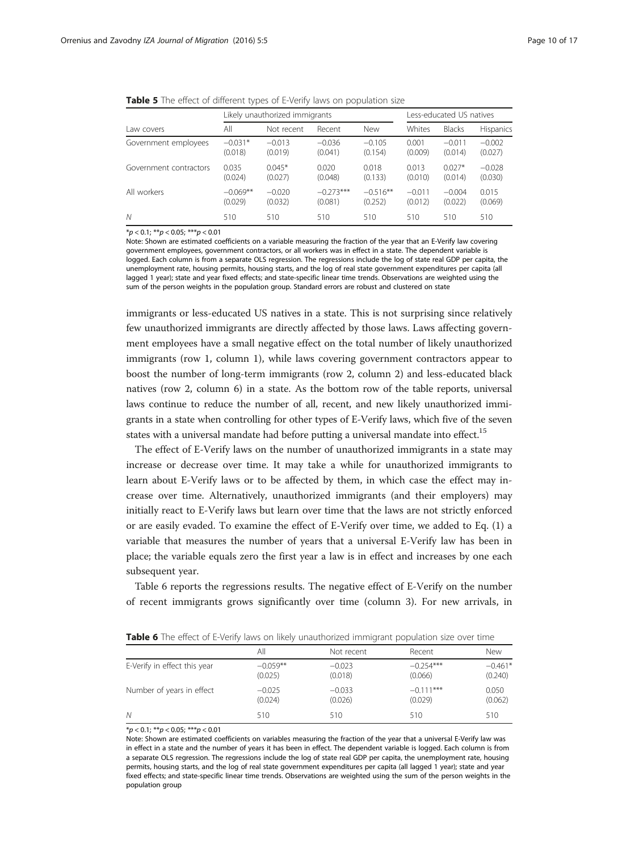<span id="page-9-0"></span>

| Table 5 The effect of different types of E-Verify laws on population size |  |  |
|---------------------------------------------------------------------------|--|--|
|---------------------------------------------------------------------------|--|--|

|                        | Likely unauthorized immigrants |            |             |            | Less-educated US natives |               |                  |
|------------------------|--------------------------------|------------|-------------|------------|--------------------------|---------------|------------------|
| Law covers             | All                            | Not recent | Recent      | <b>New</b> | Whites                   | <b>Blacks</b> | <b>Hispanics</b> |
| Government employees   | $-0.031*$                      | $-0.013$   | $-0.036$    | $-0.105$   | 0.001                    | $-0.011$      | $-0.002$         |
|                        | (0.018)                        | (0.019)    | (0.041)     | (0.154)    | (0.009)                  | (0.014)       | (0.027)          |
| Government contractors | 0.035                          | $0.045*$   | 0.020       | 0.018      | 0.013                    | $0.027*$      | $-0.028$         |
|                        | (0.024)                        | (0.027)    | (0.048)     | (0.133)    | (0.010)                  | (0.014)       | (0.030)          |
| All workers            | $-0.069**$                     | $-0.020$   | $-0.273***$ | $-0.516**$ | $-0.011$                 | $-0.004$      | 0.015            |
|                        | (0.029)                        | (0.032)    | (0.081)     | (0.252)    | (0.012)                  | (0.022)       | (0.069)          |
| Ν                      | 510                            | 510        | 510         | 510        | 510                      | 510           | 510              |

 $**p* < 0.1; ***p* < 0.05; ****p* < 0.01$ 

Note: Shown are estimated coefficients on a variable measuring the fraction of the year that an E-Verify law covering government employees, government contractors, or all workers was in effect in a state. The dependent variable is logged. Each column is from a separate OLS regression. The regressions include the log of state real GDP per capita, the unemployment rate, housing permits, housing starts, and the log of real state government expenditures per capita (all lagged 1 year); state and year fixed effects; and state-specific linear time trends. Observations are weighted using the sum of the person weights in the population group. Standard errors are robust and clustered on state

immigrants or less-educated US natives in a state. This is not surprising since relatively few unauthorized immigrants are directly affected by those laws. Laws affecting government employees have a small negative effect on the total number of likely unauthorized immigrants (row 1, column 1), while laws covering government contractors appear to boost the number of long-term immigrants (row 2, column 2) and less-educated black natives (row 2, column 6) in a state. As the bottom row of the table reports, universal laws continue to reduce the number of all, recent, and new likely unauthorized immigrants in a state when controlling for other types of E-Verify laws, which five of the seven states with a universal mandate had before putting a universal mandate into effect.<sup>15</sup>

The effect of E-Verify laws on the number of unauthorized immigrants in a state may increase or decrease over time. It may take a while for unauthorized immigrants to learn about E-Verify laws or to be affected by them, in which case the effect may increase over time. Alternatively, unauthorized immigrants (and their employers) may initially react to E-Verify laws but learn over time that the laws are not strictly enforced or are easily evaded. To examine the effect of E-Verify over time, we added to Eq. [\(1\)](#page-4-0) a variable that measures the number of years that a universal E-Verify law has been in place; the variable equals zero the first year a law is in effect and increases by one each subsequent year.

Table 6 reports the regressions results. The negative effect of E-Verify on the number of recent immigrants grows significantly over time (column 3). For new arrivals, in

| <b>Table 6</b> The effect of E-Verify laws on likely unauthorized immigrant population size over time |                       |                     |                                                                 |                    |  |
|-------------------------------------------------------------------------------------------------------|-----------------------|---------------------|-----------------------------------------------------------------|--------------------|--|
|                                                                                                       | Αll                   | Not recent          | Recent                                                          | New                |  |
| E-Verify in effect this year                                                                          | $-0.059**$<br>(0.000) | $-0.023$<br>(0.000) | $-0.254***$<br>$\sim$ $\sim$ $\sim$ $\sim$ $\sim$ $\sim$ $\sim$ | $-0.461$<br>(0.01) |  |

|                              | Αll        | Not recent | Recent      | New       |
|------------------------------|------------|------------|-------------|-----------|
| E-Verify in effect this year | $-0.059**$ | $-0.023$   | $-0.254***$ | $-0.461*$ |
|                              | (0.025)    | (0.018)    | (0.066)     | (0.240)   |
| Number of years in effect    | $-0.025$   | $-0.033$   | $-0.111***$ | 0.050     |
|                              | (0.024)    | (0.026)    | (0.029)     | (0.062)   |

N 510 510 510 510 510 510 510

 $*p < 0.1; **p < 0.05; ***p < 0.01$ 

Note: Shown are estimated coefficients on variables measuring the fraction of the year that a universal E-Verify law was in effect in a state and the number of years it has been in effect. The dependent variable is logged. Each column is from a separate OLS regression. The regressions include the log of state real GDP per capita, the unemployment rate, housing permits, housing starts, and the log of real state government expenditures per capita (all lagged 1 year); state and year fixed effects; and state-specific linear time trends. Observations are weighted using the sum of the person weights in the population group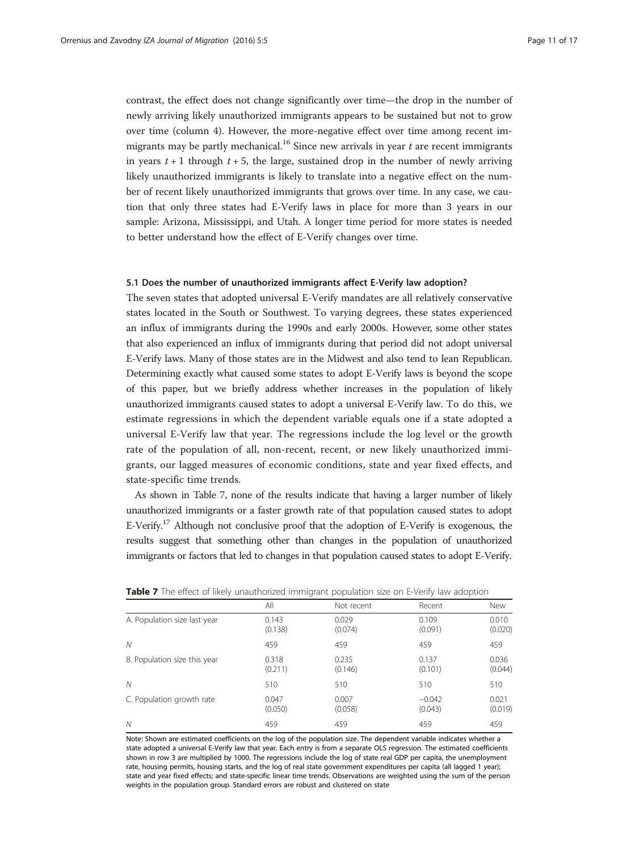contrast, the effect does not change significantly over time—the drop in the number of newly arriving likely unauthorized immigrants appears to be sustained but not to grow over time (column 4). However, the more-negative effect over time among recent immigrants may be partly mechanical.<sup>16</sup> Since new arrivals in year  $t$  are recent immigrants in years  $t + 1$  through  $t + 5$ , the large, sustained drop in the number of newly arriving likely unauthorized immigrants is likely to translate into a negative effect on the number of recent likely unauthorized immigrants that grows over time. In any case, we caution that only three states had E-Verify laws in place for more than 3 years in our sample: Arizona, Mississippi, and Utah. A longer time period for more states is needed to better understand how the effect of E-Verify changes over time.

### 5.1 Does the number of unauthorized immigrants affect E-Verify law adoption?

The seven states that adopted universal E-Verify mandates are all relatively conservative states located in the South or Southwest. To varying degrees, these states experienced an influx of immigrants during the 1990s and early 2000s. However, some other states that also experienced an influx of immigrants during that period did not adopt universal E-Verify laws. Many of those states are in the Midwest and also tend to lean Republican. Determining exactly what caused some states to adopt E-Verify laws is beyond the scope of this paper, but we briefly address whether increases in the population of likely unauthorized immigrants caused states to adopt a universal E-Verify law. To do this, we estimate regressions in which the dependent variable equals one if a state adopted a universal E-Verify law that year. The regressions include the log level or the growth rate of the population of all, non-recent, recent, or new likely unauthorized immigrants, our lagged measures of economic conditions, state and year fixed effects, and state-specific time trends.

As shown in Table 7, none of the results indicate that having a larger number of likely unauthorized immigrants or a faster growth rate of that population caused states to adopt E-Verify.<sup>17</sup> Although not conclusive proof that the adoption of E-Verify is exogenous, the results suggest that something other than changes in the population of unauthorized immigrants or factors that led to changes in that population caused states to adopt E-Verify.

|                              | All              | Not recent       | Recent              | <b>New</b>       |
|------------------------------|------------------|------------------|---------------------|------------------|
| A. Population size last year | 0.143<br>(0.138) | 0.029<br>(0.074) | 0.109<br>(0.091)    | 0.010<br>(0.020) |
| N                            | 459              | 459              | 459                 | 459              |
| B. Population size this year | 0.318<br>(0.211) | 0.235<br>(0.146) | 0.137<br>(0.101)    | 0.036<br>(0.044) |
| N                            | 510              | 510              | 510                 | 510              |
| C. Population growth rate    | 0.047<br>(0.050) | 0.007<br>(0.058) | $-0.042$<br>(0.043) | 0.021<br>(0.019) |
| N                            | 459              | 459              | 459                 | 459              |

**Table 7** The effect of likely unauthorized immigrant population size on F-Verify law adoption

Note: Shown are estimated coefficients on the log of the population size. The dependent variable indicates whether a state adopted a universal E-Verify law that year. Each entry is from a separate OLS regression. The estimated coefficients shown in row 3 are multiplied by 1000. The regressions include the log of state real GDP per capita, the unemployment rate, housing permits, housing starts, and the log of real state government expenditures per capita (all lagged 1 year); state and year fixed effects; and state-specific linear time trends. Observations are weighted using the sum of the person weights in the population group. Standard errors are robust and clustered on state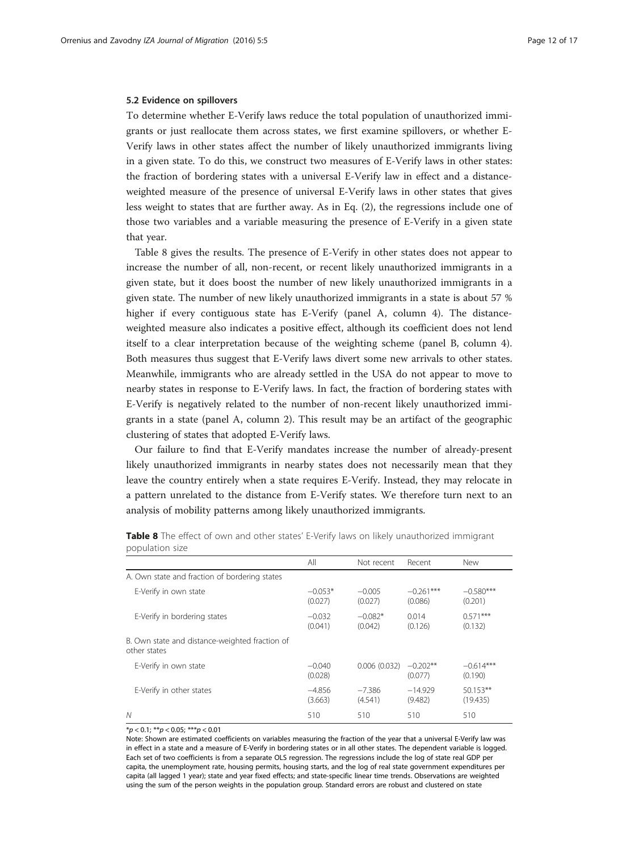#### <span id="page-11-0"></span>5.2 Evidence on spillovers

To determine whether E-Verify laws reduce the total population of unauthorized immigrants or just reallocate them across states, we first examine spillovers, or whether E-Verify laws in other states affect the number of likely unauthorized immigrants living in a given state. To do this, we construct two measures of E-Verify laws in other states: the fraction of bordering states with a universal E-Verify law in effect and a distanceweighted measure of the presence of universal E-Verify laws in other states that gives less weight to states that are further away. As in Eq. [\(2\)](#page-6-0), the regressions include one of those two variables and a variable measuring the presence of E-Verify in a given state that year.

Table 8 gives the results. The presence of E-Verify in other states does not appear to increase the number of all, non-recent, or recent likely unauthorized immigrants in a given state, but it does boost the number of new likely unauthorized immigrants in a given state. The number of new likely unauthorized immigrants in a state is about 57 % higher if every contiguous state has E-Verify (panel A, column 4). The distanceweighted measure also indicates a positive effect, although its coefficient does not lend itself to a clear interpretation because of the weighting scheme (panel B, column 4). Both measures thus suggest that E-Verify laws divert some new arrivals to other states. Meanwhile, immigrants who are already settled in the USA do not appear to move to nearby states in response to E-Verify laws. In fact, the fraction of bordering states with E-Verify is negatively related to the number of non-recent likely unauthorized immigrants in a state (panel A, column 2). This result may be an artifact of the geographic clustering of states that adopted E-Verify laws.

Our failure to find that E-Verify mandates increase the number of already-present likely unauthorized immigrants in nearby states does not necessarily mean that they leave the country entirely when a state requires E-Verify. Instead, they may relocate in a pattern unrelated to the distance from E-Verify states. We therefore turn next to an analysis of mobility patterns among likely unauthorized immigrants.

| population size                                                |                      |                      |                        |                        |
|----------------------------------------------------------------|----------------------|----------------------|------------------------|------------------------|
|                                                                | All                  | Not recent           | Recent                 | <b>New</b>             |
| A. Own state and fraction of bordering states                  |                      |                      |                        |                        |
| E-Verify in own state                                          | $-0.053*$<br>(0.027) | $-0.005$<br>(0.027)  | $-0.261***$<br>(0.086) | $-0.580***$<br>(0.201) |
| E-Verify in bordering states                                   | $-0.032$<br>(0.041)  | $-0.082*$<br>(0.042) | 0.014<br>(0.126)       | $0.571***$<br>(0.132)  |
| B. Own state and distance-weighted fraction of<br>other states |                      |                      |                        |                        |
| E-Verify in own state                                          | $-0.040$<br>(0.028)  | 0.006(0.032)         | $-0.202**$<br>(0.077)  | $-0.614***$<br>(0.190) |
| E-Verify in other states                                       | $-4.856$<br>(3.663)  | $-7.386$<br>(4.541)  | $-14.929$<br>(9.482)   | $50.153**$<br>(19.435) |
| $\mathcal N$                                                   | 510                  | 510                  | 510                    | 510                    |

Table 8 The effect of own and other states' E-Verify laws on likely unauthorized immigrant population size

 $*p < 0.1; **p < 0.05; ***p < 0.01$ 

Note: Shown are estimated coefficients on variables measuring the fraction of the year that a universal E-Verify law was in effect in a state and a measure of E-Verify in bordering states or in all other states. The dependent variable is logged. Each set of two coefficients is from a separate OLS regression. The regressions include the log of state real GDP per capita, the unemployment rate, housing permits, housing starts, and the log of real state government expenditures per capita (all lagged 1 year); state and year fixed effects; and state-specific linear time trends. Observations are weighted using the sum of the person weights in the population group. Standard errors are robust and clustered on state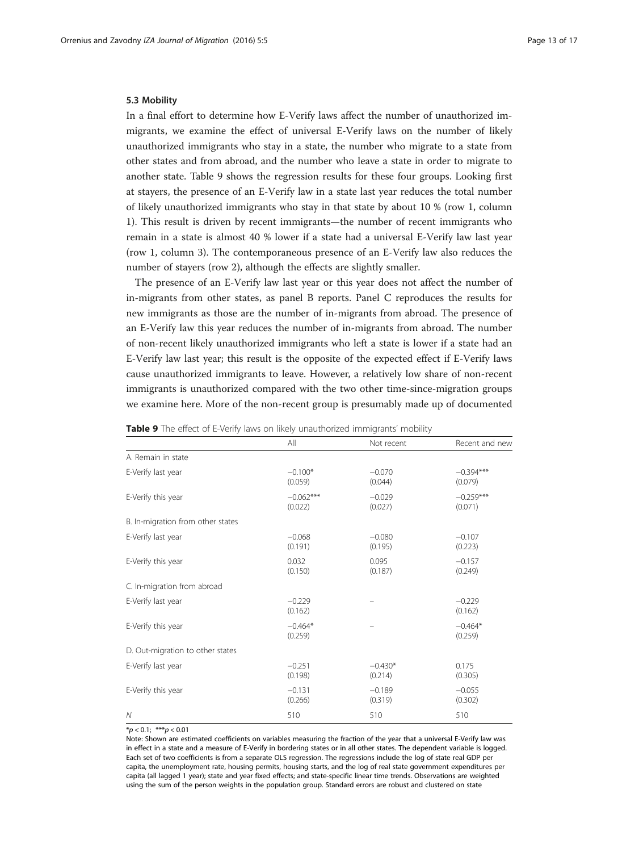#### <span id="page-12-0"></span>5.3 Mobility

In a final effort to determine how E-Verify laws affect the number of unauthorized immigrants, we examine the effect of universal E-Verify laws on the number of likely unauthorized immigrants who stay in a state, the number who migrate to a state from other states and from abroad, and the number who leave a state in order to migrate to another state. Table 9 shows the regression results for these four groups. Looking first at stayers, the presence of an E-Verify law in a state last year reduces the total number of likely unauthorized immigrants who stay in that state by about 10 % (row 1, column 1). This result is driven by recent immigrants—the number of recent immigrants who remain in a state is almost 40 % lower if a state had a universal E-Verify law last year (row 1, column 3). The contemporaneous presence of an E-Verify law also reduces the number of stayers (row 2), although the effects are slightly smaller.

The presence of an E-Verify law last year or this year does not affect the number of in-migrants from other states, as panel B reports. Panel C reproduces the results for new immigrants as those are the number of in-migrants from abroad. The presence of an E-Verify law this year reduces the number of in-migrants from abroad. The number of non-recent likely unauthorized immigrants who left a state is lower if a state had an E-Verify law last year; this result is the opposite of the expected effect if E-Verify laws cause unauthorized immigrants to leave. However, a relatively low share of non-recent immigrants is unauthorized compared with the two other time-since-migration groups we examine here. More of the non-recent group is presumably made up of documented

|                                   | All                    | Not recent           | Recent and new         |
|-----------------------------------|------------------------|----------------------|------------------------|
| A. Remain in state                |                        |                      |                        |
| E-Verify last year                | $-0.100*$<br>(0.059)   | $-0.070$<br>(0.044)  | $-0.394***$<br>(0.079) |
| E-Verify this year                | $-0.062***$<br>(0.022) | $-0.029$<br>(0.027)  | $-0.259***$<br>(0.071) |
| B. In-migration from other states |                        |                      |                        |
| E-Verify last year                | $-0.068$<br>(0.191)    | $-0.080$<br>(0.195)  | $-0.107$<br>(0.223)    |
| E-Verify this year                | 0.032<br>(0.150)       | 0.095<br>(0.187)     | $-0.157$<br>(0.249)    |
| C. In-migration from abroad       |                        |                      |                        |
| E-Verify last year                | $-0.229$<br>(0.162)    |                      | $-0.229$<br>(0.162)    |
| E-Verify this year                | $-0.464*$<br>(0.259)   |                      | $-0.464*$<br>(0.259)   |
| D. Out-migration to other states  |                        |                      |                        |
| E-Verify last year                | $-0.251$<br>(0.198)    | $-0.430*$<br>(0.214) | 0.175<br>(0.305)       |
| E-Verify this year                | $-0.131$<br>(0.266)    | $-0.189$<br>(0.319)  | $-0.055$<br>(0.302)    |
| $\mathcal N$                      | 510                    | 510                  | 510                    |

| Table 9 The effect of E-Verify laws on likely unauthorized immigrants' mobility |  |  |  |
|---------------------------------------------------------------------------------|--|--|--|
|                                                                                 |  |  |  |

 $*p < 0.1;$  \*\*\*p < 0.01

Note: Shown are estimated coefficients on variables measuring the fraction of the year that a universal E-Verify law was in effect in a state and a measure of E-Verify in bordering states or in all other states. The dependent variable is logged. Each set of two coefficients is from a separate OLS regression. The regressions include the log of state real GDP per capita, the unemployment rate, housing permits, housing starts, and the log of real state government expenditures per capita (all lagged 1 year); state and year fixed effects; and state-specific linear time trends. Observations are weighted using the sum of the person weights in the population group. Standard errors are robust and clustered on state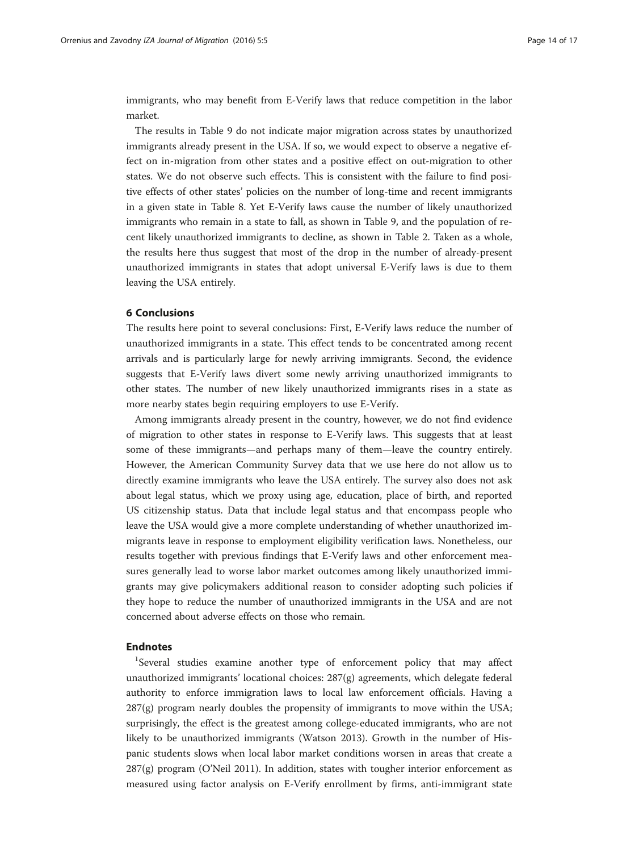immigrants, who may benefit from E-Verify laws that reduce competition in the labor market.

The results in Table [9](#page-12-0) do not indicate major migration across states by unauthorized immigrants already present in the USA. If so, we would expect to observe a negative effect on in-migration from other states and a positive effect on out-migration to other states. We do not observe such effects. This is consistent with the failure to find positive effects of other states' policies on the number of long-time and recent immigrants in a given state in Table [8](#page-11-0). Yet E-Verify laws cause the number of likely unauthorized immigrants who remain in a state to fall, as shown in Table [9](#page-12-0), and the population of recent likely unauthorized immigrants to decline, as shown in Table [2.](#page-6-0) Taken as a whole, the results here thus suggest that most of the drop in the number of already-present unauthorized immigrants in states that adopt universal E-Verify laws is due to them leaving the USA entirely.

### 6 Conclusions

The results here point to several conclusions: First, E-Verify laws reduce the number of unauthorized immigrants in a state. This effect tends to be concentrated among recent arrivals and is particularly large for newly arriving immigrants. Second, the evidence suggests that E-Verify laws divert some newly arriving unauthorized immigrants to other states. The number of new likely unauthorized immigrants rises in a state as more nearby states begin requiring employers to use E-Verify.

Among immigrants already present in the country, however, we do not find evidence of migration to other states in response to E-Verify laws. This suggests that at least some of these immigrants—and perhaps many of them—leave the country entirely. However, the American Community Survey data that we use here do not allow us to directly examine immigrants who leave the USA entirely. The survey also does not ask about legal status, which we proxy using age, education, place of birth, and reported US citizenship status. Data that include legal status and that encompass people who leave the USA would give a more complete understanding of whether unauthorized immigrants leave in response to employment eligibility verification laws. Nonetheless, our results together with previous findings that E-Verify laws and other enforcement measures generally lead to worse labor market outcomes among likely unauthorized immigrants may give policymakers additional reason to consider adopting such policies if they hope to reduce the number of unauthorized immigrants in the USA and are not concerned about adverse effects on those who remain.

# Endnotes

<sup>1</sup>Several studies examine another type of enforcement policy that may affect unauthorized immigrants' locational choices:  $287(g)$  agreements, which delegate federal authority to enforce immigration laws to local law enforcement officials. Having a 287(g) program nearly doubles the propensity of immigrants to move within the USA; surprisingly, the effect is the greatest among college-educated immigrants, who are not likely to be unauthorized immigrants (Watson [2013](#page--1-0)). Growth in the number of Hispanic students slows when local labor market conditions worsen in areas that create a  $287(g)$  program (O'Neil [2011](#page-15-0)). In addition, states with tougher interior enforcement as measured using factor analysis on E-Verify enrollment by firms, anti-immigrant state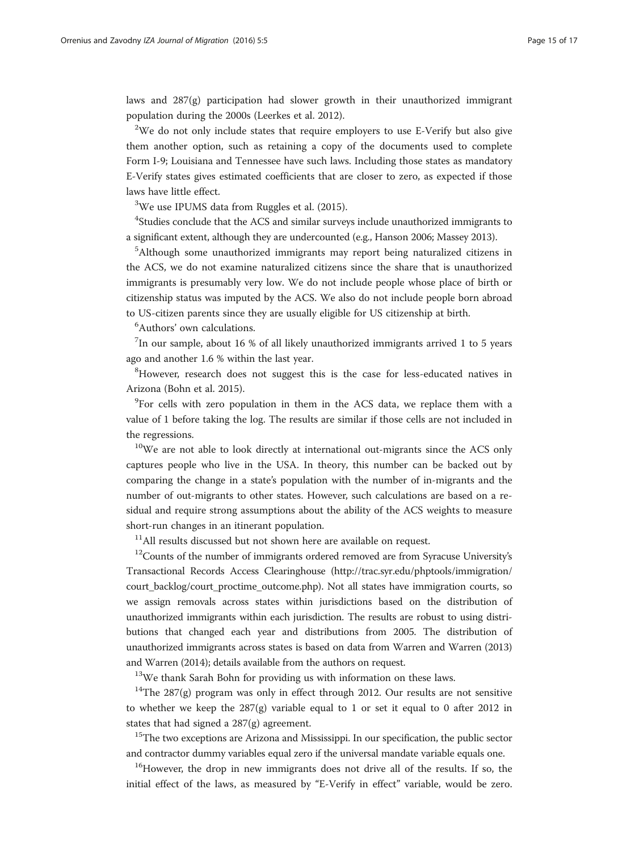laws and  $287(g)$  participation had slower growth in their unauthorized immigrant population during the 2000s (Leerkes et al. [2012](#page-15-0)).

 $2$ We do not only include states that require employers to use E-Verify but also give them another option, such as retaining a copy of the documents used to complete Form I-9; Louisiana and Tennessee have such laws. Including those states as mandatory E-Verify states gives estimated coefficients that are closer to zero, as expected if those laws have little effect.

<sup>3</sup>We use IPUMS data from Ruggles et al. [\(2015\)](#page--1-0).

<sup>4</sup>Studies conclude that the ACS and similar surveys include unauthorized immigrants to a significant extent, although they are undercounted (e.g., Hanson [2006;](#page-15-0) Massey [2013\)](#page-15-0).

5 Although some unauthorized immigrants may report being naturalized citizens in the ACS, we do not examine naturalized citizens since the share that is unauthorized immigrants is presumably very low. We do not include people whose place of birth or citizenship status was imputed by the ACS. We also do not include people born abroad to US-citizen parents since they are usually eligible for US citizenship at birth.

6 Authors' own calculations.

 $^{7}$ In our sample, about 16 % of all likely unauthorized immigrants arrived 1 to 5 years ago and another 1.6 % within the last year.

<sup>8</sup>However, research does not suggest this is the case for less-educated natives in Arizona (Bohn et al. [2015\)](#page-15-0).

<sup>9</sup>For cells with zero population in them in the ACS data, we replace them with a value of 1 before taking the log. The results are similar if those cells are not included in the regressions.

<sup>10</sup>We are not able to look directly at international out-migrants since the ACS only captures people who live in the USA. In theory, this number can be backed out by comparing the change in a state's population with the number of in-migrants and the number of out-migrants to other states. However, such calculations are based on a residual and require strong assumptions about the ability of the ACS weights to measure short-run changes in an itinerant population.

 $11$ All results discussed but not shown here are available on request.

<sup>12</sup>Counts of the number of immigrants ordered removed are from Syracuse University's Transactional Records Access Clearinghouse ([http://trac.syr.edu/phptools/immigration/](http://trac.syr.edu/phptools/immigration/court_backlog/court_proctime_outcome.php) [court\\_backlog/court\\_proctime\\_outcome.php\)](http://trac.syr.edu/phptools/immigration/court_backlog/court_proctime_outcome.php). Not all states have immigration courts, so we assign removals across states within jurisdictions based on the distribution of unauthorized immigrants within each jurisdiction. The results are robust to using distributions that changed each year and distributions from 2005. The distribution of unauthorized immigrants across states is based on data from Warren and Warren [\(2013](#page--1-0)) and Warren ([2014\)](#page--1-0); details available from the authors on request.

<sup>13</sup>We thank Sarah Bohn for providing us with information on these laws.

<sup>14</sup>The 287(g) program was only in effect through 2012. Our results are not sensitive to whether we keep the  $287(g)$  variable equal to 1 or set it equal to 0 after 2012 in states that had signed a 287(g) agreement.

<sup>15</sup>The two exceptions are Arizona and Mississippi. In our specification, the public sector and contractor dummy variables equal zero if the universal mandate variable equals one.

<sup>16</sup>However, the drop in new immigrants does not drive all of the results. If so, the initial effect of the laws, as measured by "E-Verify in effect" variable, would be zero.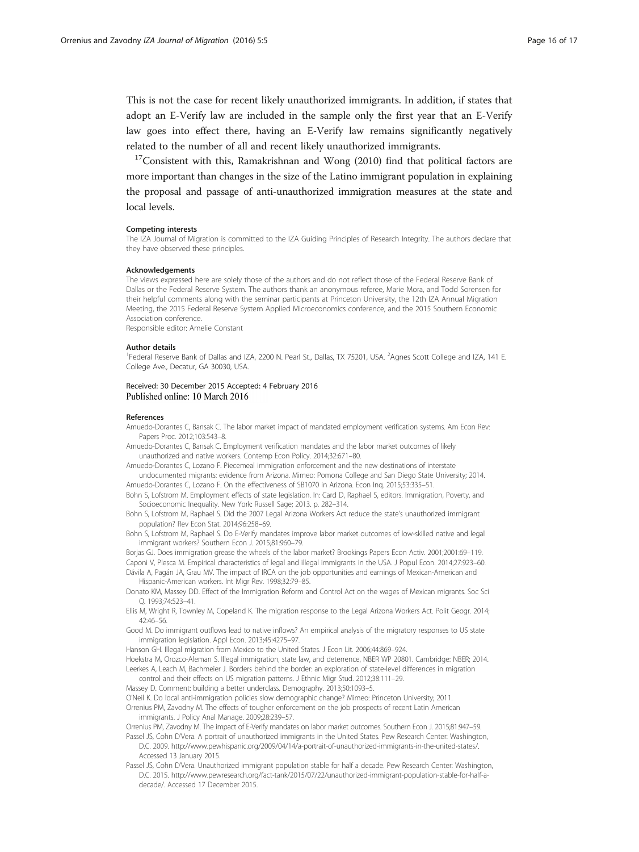<span id="page-15-0"></span>This is not the case for recent likely unauthorized immigrants. In addition, if states that adopt an E-Verify law are included in the sample only the first year that an E-Verify law goes into effect there, having an E-Verify law remains significantly negatively related to the number of all and recent likely unauthorized immigrants.

 $17$ Consistent with this, Ramakrishnan and Wong ([2010\)](#page--1-0) find that political factors are more important than changes in the size of the Latino immigrant population in explaining the proposal and passage of anti-unauthorized immigration measures at the state and local levels.

#### Competing interests

The IZA Journal of Migration is committed to the IZA Guiding Principles of Research Integrity. The authors declare that they have observed these principles.

#### Acknowledgements

The views expressed here are solely those of the authors and do not reflect those of the Federal Reserve Bank of Dallas or the Federal Reserve System. The authors thank an anonymous referee, Marie Mora, and Todd Sorensen for their helpful comments along with the seminar participants at Princeton University, the 12th IZA Annual Migration Meeting, the 2015 Federal Reserve System Applied Microeconomics conference, and the 2015 Southern Economic Association conference.

Responsible editor: Amelie Constant

#### Author details

<sup>1</sup>Federal Reserve Bank of Dallas and IZA, 2200 N. Pearl St., Dallas, TX 75201, USA. <sup>2</sup>Agnes Scott College and IZA, 141 E College Ave., Decatur, GA 30030, USA.

#### Received: 30 December 2015 Accepted: 4 February 2016 Published online: 10 March 2016

#### References

Amuedo-Dorantes C, Bansak C. The labor market impact of mandated employment verification systems. Am Econ Rev: Papers Proc. 2012;103:543–8.

Amuedo-Dorantes C, Bansak C. Employment verification mandates and the labor market outcomes of likely unauthorized and native workers. Contemp Econ Policy. 2014;32:671–80.

Amuedo-Dorantes C, Lozano F. Piecemeal immigration enforcement and the new destinations of interstate undocumented migrants: evidence from Arizona. Mimeo: Pomona College and San Diego State University; 2014. Amuedo-Dorantes C, Lozano F. On the effectiveness of SB1070 in Arizona. Econ Inq. 2015;53:335–51.

Bohn S, Lofstrom M. Employment effects of state legislation. In: Card D, Raphael S, editors. Immigration, Poverty, and Socioeconomic Inequality. New York: Russell Sage; 2013. p. 282–314.

Bohn S, Lofstrom M, Raphael S. Did the 2007 Legal Arizona Workers Act reduce the state's unauthorized immigrant population? Rev Econ Stat. 2014;96:258–69.

Bohn S, Lofstrom M, Raphael S. Do E-Verify mandates improve labor market outcomes of low-skilled native and legal immigrant workers? Southern Econ J. 2015;81:960–79.

Borjas GJ. Does immigration grease the wheels of the labor market? Brookings Papers Econ Activ. 2001;2001:69–119. Caponi V, Plesca M. Empirical characteristics of legal and illegal immigrants in the USA. J Popul Econ. 2014;27:923–60. Dávila A, Pagán JA, Grau MV. The impact of IRCA on the job opportunities and earnings of Mexican-American and

Hispanic-American workers. Int Migr Rev. 1998;32:79–85. Donato KM, Massey DD. Effect of the Immigration Reform and Control Act on the wages of Mexican migrants. Soc Sci

Q. 1993;74:523–41. Ellis M, Wright R, Townley M, Copeland K. The migration response to the Legal Arizona Workers Act. Polit Geogr. 2014; 42:46–56.

Good M. Do immigrant outflows lead to native inflows? An empirical analysis of the migratory responses to US state immigration legislation. Appl Econ. 2013;45:4275–97.

Hanson GH. Illegal migration from Mexico to the United States. J Econ Lit. 2006;44:869–924.

Hoekstra M, Orozco-Aleman S. Illegal immigration, state law, and deterrence, NBER WP 20801. Cambridge: NBER; 2014. Leerkes A, Leach M, Bachmeier J. Borders behind the border: an exploration of state-level differences in migration

control and their effects on US migration patterns. J Ethnic Migr Stud. 2012;38:111–29. Massey D. Comment: building a better underclass. Demography. 2013;50:1093–5.

O'Neil K. Do local anti-immigration policies slow demographic change? Mimeo: Princeton University; 2011.

Orrenius PM, Zavodny M. The effects of tougher enforcement on the job prospects of recent Latin American immigrants. J Policy Anal Manage. 2009;28:239–57.

Orrenius PM, Zavodny M. The impact of E-Verify mandates on labor market outcomes. Southern Econ J. 2015;81:947–59. Passel JS, Cohn D'Vera. A portrait of unauthorized immigrants in the United States. Pew Research Center: Washington,

D.C. 2009. [http://www.pewhispanic.org/2009/04/14/a-portrait-of-unauthorized-immigrants-in-the-united-states/.](http://www.pewhispanic.org/2009/04/14/a-portrait-of-unauthorized-immigrants-in-the-united-states/) Accessed 13 January 2015.

Passel JS, Cohn D'Vera. Unauthorized immigrant population stable for half a decade. Pew Research Center: Washington, D.C. 2015. [http://www.pewresearch.org/fact-tank/2015/07/22/unauthorized-immigrant-population-stable-for-half-a](http://www.pewresearch.org/fact-tank/2015/07/22/unauthorized-immigrant-population-stable-for-half-a-decade/)[decade/.](http://www.pewresearch.org/fact-tank/2015/07/22/unauthorized-immigrant-population-stable-for-half-a-decade/) Accessed 17 December 2015.